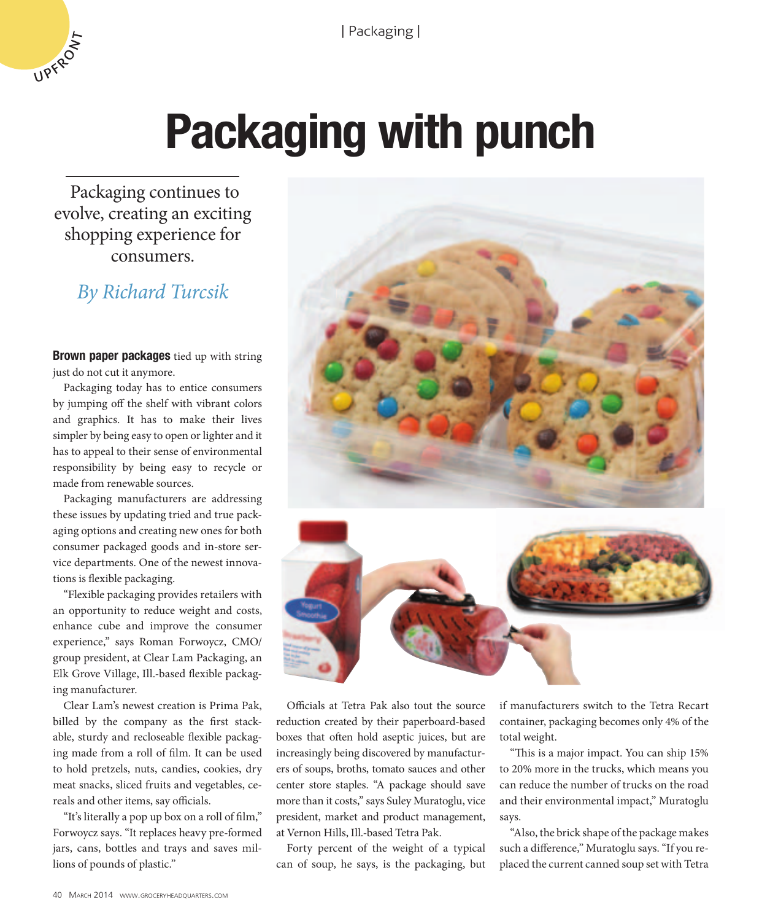

# **Packaging with punch**

 Packaging continues to evolve, creating an exciting shopping experience for consumers.

## *By Richard Turcsik*

**Brown paper packages** tied up with string just do not cut it anymore.

Packaging today has to entice consumers by jumping off the shelf with vibrant colors and graphics. It has to make their lives simpler by being easy to open or lighter and it has to appeal to their sense of environmental responsibility by being easy to recycle or made from renewable sources.

Packaging manufacturers are addressing these issues by updating tried and true packaging options and creating new ones for both consumer packaged goods and in-store service departments. One of the newest innovations is flexible packaging.

"Flexible packaging provides retailers with an opportunity to reduce weight and costs, enhance cube and improve the consumer experience," says Roman Forwoycz, CMO/ group president, at Clear Lam Packaging, an Elk Grove Village, Ill.-based flexible packaging manufacturer.

Clear Lam's newest creation is Prima Pak, billed by the company as the first stackable, sturdy and recloseable flexible packaging made from a roll of film. It can be used to hold pretzels, nuts, candies, cookies, dry meat snacks, sliced fruits and vegetables, cereals and other items, say officials.

"It's literally a pop up box on a roll of film," Forwoycz says. "It replaces heavy pre-formed jars, cans, bottles and trays and saves millions of pounds of plastic."





Officials at Tetra Pak also tout the source reduction created by their paperboard-based boxes that often hold aseptic juices, but are increasingly being discovered by manufacturers of soups, broths, tomato sauces and other center store staples. "A package should save more than it costs," says Suley Muratoglu, vice president, market and product management, at Vernon Hills, Ill.-based Tetra Pak.

Forty percent of the weight of a typical can of soup, he says, is the packaging, but if manufacturers switch to the Tetra Recart container, packaging becomes only 4% of the total weight.

"This is a major impact. You can ship 15% to 20% more in the trucks, which means you can reduce the number of trucks on the road and their environmental impact," Muratoglu says.

"Also, the brick shape of the package makes such a difference," Muratoglu says. "If you replaced the current canned soup set with Tetra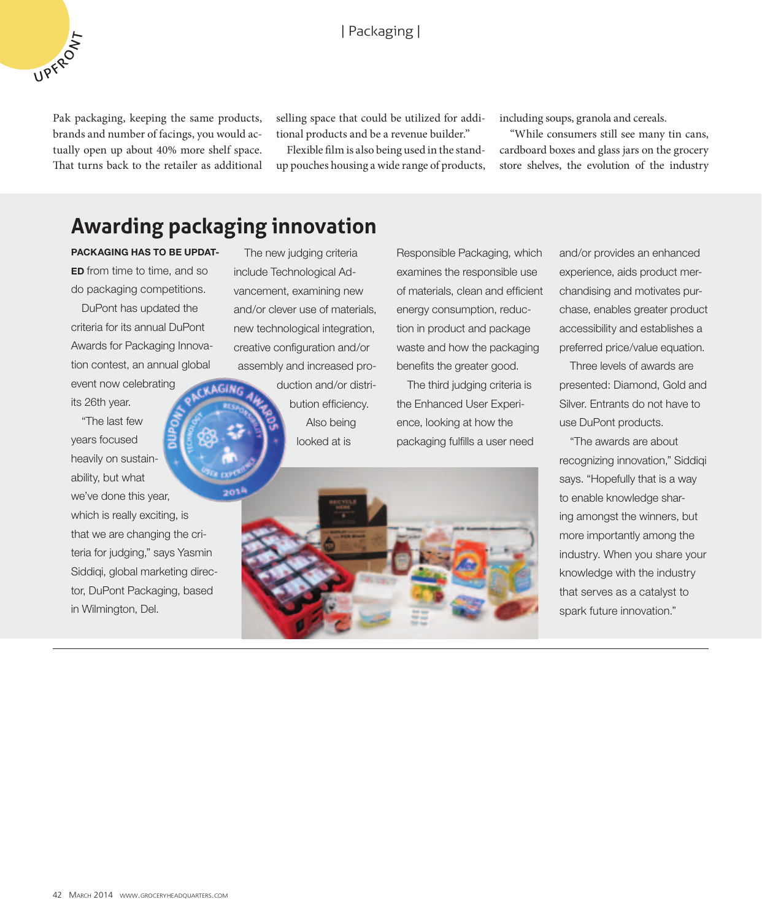Pak packaging, keeping the same products, brands and number of facings, you would actually open up about 40% more shelf space. That turns back to the retailer as additional

UPFROXT

selling space that could be utilized for additional products and be a revenue builder."

Flexible film is also being used in the standup pouches housing a wide range of products, including soups, granola and cereals.

"While consumers still see many tin cans, cardboard boxes and glass jars on the grocery store shelves, the evolution of the industry

## **Awarding packaging innovation**

**PACKAGING HAS TO BE UPDAT-ED** from time to time, and so do packaging competitions.

DuPont has updated the criteria for its annual DuPont Awards for Packaging Innovation contest, an annual global

event now celebrating its 26th year.

"The last few years focused heavily on sustainability, but what we've done this year, which is really exciting, is that we are changing the criteria for judging," says Yasmin Siddiqi, global marketing director, DuPont Packaging, based in Wilmington, Del.

The new judging criteria include Technological Advancement, examining new and/or clever use of materials, new technological integration, creative configuration and/or assembly and increased pro-

> duction and/or distribution efficiency. Also being looked at is

Responsible Packaging, which examines the responsible use of materials, clean and efficient energy consumption, reduction in product and package waste and how the packaging benefits the greater good.

The third judging criteria is the Enhanced User Experience, looking at how the packaging fulfills a user need



Three levels of awards are presented: Diamond, Gold and Silver. Entrants do not have to use DuPont products.

"The awards are about recognizing innovation," Siddiqi says. "Hopefully that is a way to enable knowledge sharing amongst the winners, but more importantly among the industry. When you share your knowledge with the industry that serves as a catalyst to spark future innovation."

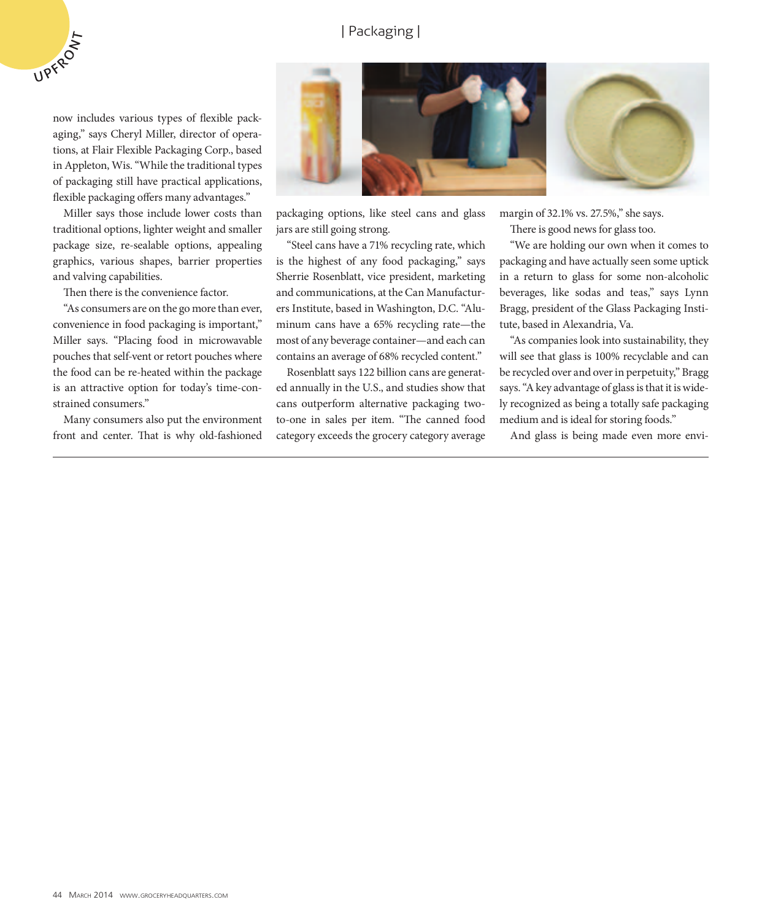#### | Packaging |

now includes various types of flexible packaging," says Cheryl Miller, director of operations, at Flair Flexible Packaging Corp., based in Appleton, Wis. "While the traditional types of packaging still have practical applications, flexible packaging offers many advantages."

UPFRO IT

Miller says those include lower costs than traditional options, lighter weight and smaller package size, re-sealable options, appealing graphics, various shapes, barrier properties and valving capabilities.

Then there is the convenience factor.

"As consumers are on the go more than ever, convenience in food packaging is important," Miller says. "Placing food in microwavable pouches that self-vent or retort pouches where the food can be re-heated within the package is an attractive option for today's time-constrained consumers."

Many consumers also put the environment front and center. That is why old-fashioned



packaging options, like steel cans and glass jars are still going strong.

"Steel cans have a 71% recycling rate, which is the highest of any food packaging," says Sherrie Rosenblatt, vice president, marketing and communications, at the Can Manufacturers Institute, based in Washington, D.C. "Aluminum cans have a 65% recycling rate—the most of any beverage container—and each can contains an average of 68% recycled content."

Rosenblatt says 122 billion cans are generated annually in the U.S., and studies show that cans outperform alternative packaging twoto-one in sales per item. "The canned food category exceeds the grocery category average margin of 32.1% vs. 27.5%," she says.

There is good news for glass too.

"We are holding our own when it comes to packaging and have actually seen some uptick in a return to glass for some non-alcoholic beverages, like sodas and teas," says Lynn Bragg, president of the Glass Packaging Institute, based in Alexandria, Va.

"As companies look into sustainability, they will see that glass is 100% recyclable and can be recycled over and over in perpetuity," Bragg says. "A key advantage of glass is that it is widely recognized as being a totally safe packaging medium and is ideal for storing foods."

And glass is being made even more envi-